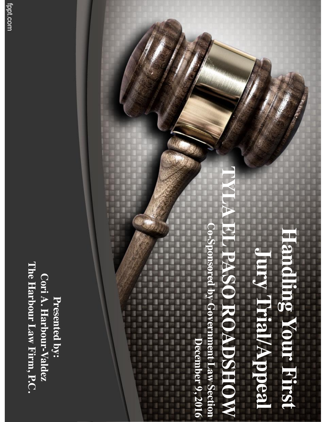The Harbour Law Firm, P.C. **The Harbour Law Firm, P.C. Cori A. Harbour-Valdez Cori A. Harbour** Presented by: **Presented by:**

#### **TYLA EL PASO ROADSHOW**  $\overline{V}$ **Handling Your First Jury Trial/Appeal** H **O ROADSEQW Trial/Appea**

**Andr** 

First

**Co -Sponsored by Government Law Section** y Government Law Section December 9, 2016 **December 9, 2016**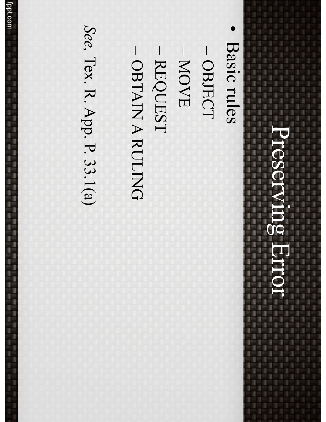#### Preserving Error Preserving Error 日本語 (議員)議員 (議員)

ī 1 ļ ı 1

is a 3

I

- 蓬:蓬:蓬:蓬:蓬:蓬:蓬

「編「編」 語に

□ 国川 国川 国川 国川 国川 国川 ı

■ ■

• Basic rules Basic rules

ä

ŝ ī 1

1 ı

ī

ļ

î 9

9

**LASE THAN THAN THAN THE THINK** 

(編) 建二氯化碳

l

3 1 1

ī

1

1

š

ľ

- OBJECT OBJECT
- MOVE
- REQUEST REQUEST
- OBTAIN A RULING

*See, Tex. R. App. P. 33.1(a)* Tex. R. App. P. 33.1(a)

fppt.com<br>fppt.com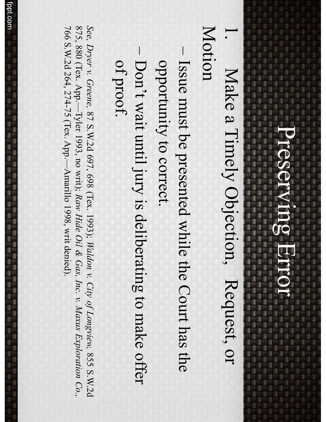### Preserving Error Preserving Error **SALES THE THE THE THE THE THE**

3

0 ī ļ y į 3

ā

i.

1

ī

ī

1999年10月10日(1999年10月10日)1999年10月1日(1999年10月1日)1999年10月1日(1999年10月1日)1月1日)

1. 2012. 2013. 2013. 2013. 2013. 2013. 2023. 2023. 2023. 2023. 2023. 2023. 2023. 2023. 2023. 2023. 2023. 2023. 2024. 2024. 2024. 2024. 2024. 2024. 2024. 2024. 2024. 2024. 2024. 2024. 2024. 2024. 2024. 2024. 2024. 2024. 20 4、这里的是一定是一个人的事,我们是一个人的事,我们是一个人的事,我们是一个人的事,我们是一定是一个人的事,我们是一定是一定是一定是一定是一定是一定是一定的。 医血管切开术 医心理学 医心理学 医心理学 医心理学 医心理学 医心理学 医心理学

1. 100 1. 100 1. 100 1. 100 1. 100 1. 100 1. 100 1. 100 1. 100 1. 100 1. 100 1. 100 1. 100 1. 100 1. 100 1. 100 1. 100 1. 100 1. 100 1. 100 1. 100 1. 100 1. 100 1. 100 1. 100 1. 100 1. 100 1. 100 1. 100 1. 100 1. 100 1. 10

ii a

3

1 ī ī

1

ı

3

ı

ī

ā

L g.

3

l.

ı

l

l

I

I

Ľ

3 ī ă j ł ł

l 1

ļ

1. 四、四

į

- Motion .<br>.<br>. Make a Timely Objection, Request, or Make a Timely Objection, Request, or
- Issue must be presented while the Court has the opportunity to correct. opportunity to correct. Issue must be presented while the Court has the
- Don't wait until jury is deliberating to make offer of proof. Don't wait until jury is deliberating to make offer

*See, Dryer v. Greene,*  $\gtrsim$ S.W.2d 697, 698 (Tex. 1993); *Waldon v. City of Longview,* 855 S.W.2d 875, 880 (Tex. App.—Tyler 1993, no writ); *Raw Hide Oil & Gas, Inc. v. Maxus Exploration Co.,* 766 S.W.2d 264, 274-75 (Tex. App.—Amarillo 1998, writ denied).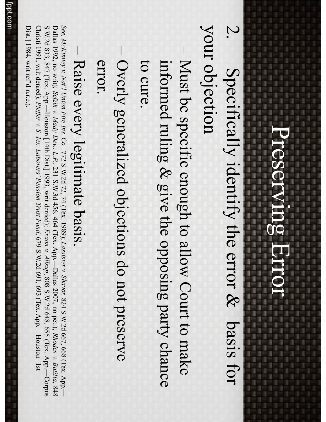ī

I

3

ī

1

1477年12月24日,148日,1491年14月22日,1492年14月22日,1492年14月24日,1492年14月24日,1492年14月24日,1492年14月24日,1492年14月24日

ä ī

g.

3

ī

I

l

Ī

š

ă

ı li. 3

This Color Color Color Color Color Color Color Color Color Color Color Color Color 

ī

3 i a 0 ı ļ ij į 3 ā

- 清川福川福川福川福川福川藩三清川清川藩三清

- your objection your objection  $\bm{\triangledown}$ Specifically identify the error & basis for Specifically identify the error & basis for
- Must be specific enough to allow Court to make to cure. informed ruling & give the opposing party chance informed ruling & give the opposing party chance Must be specific enough to allow Court to make
- Overly generalized objections do not preserve error. Overly generalized objections do not preserve

#### – Raise every legitimate basis. Raise every legitimate basis.

*See, McKinney v. Nat'l Union Fire Ins. Co.,* 772 S.W.2d 72, 74 (Tex. 1989); *Lassister v. Shavor,* 824 S.W.2d 667, 668 (Tex. App.— Dallas 1992, no writ); *Sefzik v. Mady Dev., L.P.,* 231 S.W.3d 456, 464 (Tex. App.—Dallas 2007, no pet.); *Rhodes v. Batilla*, 848 S.W.2d 833, 847 (Tex. App.—Houston [14th Dist.] 1993, writ denied); *Exxon v. Allsup*, 808 S.W.2d 648, 655 (Tex. App.—Corpus Christi 1991, writ denied); *Pfeffer v. S. Tex. Laborers'Pension Trust Fund*, 679 S.W.2d 691, 693 (Tex. App.—Houston  $[1st]$ 

Dist.] 1984, writ ref'd n.r.e.).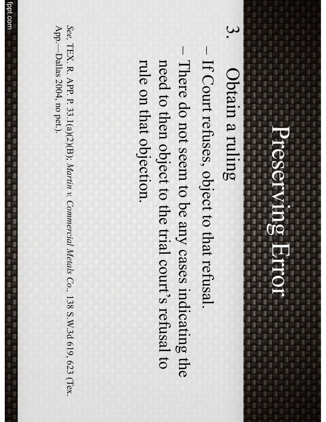#### 医甲基二溴甲基甲基甲基甲基甲基甲基甲基甲基甲基甲基甲基 Preserving Error Preserving Error 薄照清层 清照清照清照清照清照清照清照清照清照清 (議所議所議所議所議所

ī

ı

1

ļ

ī

3 ı

I

ā

ī

ļ

1

3

š

ī

ī

I

1

š

ł

Ü

ł

I dan 2 mer 2 dan 2 mer 2 mer 2 mer 2 mer 2 mer 2 mer 2 mer 2 mer 2 mer 2 mer 2 mer 2 mer 2 mer 2 mer 2 mer 2 1. 《清川清川清川清川清川清川清川清川清川清川清川清川清川清川清川清川清川

1. 羅:羅:羅:羅:羅:羅:羅:羅:

l

ļ

ļ

9

š

3

1

1

1

ī

ī ı

ı

ī 3

I

Obtain a ruling Obtain a ruling

2011年1月11日,第1日第1日第1日第11届11届11届11届

<u>ယ</u>

ä

ı

ı

į 3

3

ı

ll.

I.

I

ı

3

ļ g

ī 3 į

ă

3 li.

3

g

ì î ļ

ī

- If Court refuses, object to that refusal. If Court refuses, object to that refusal.
- There do not seem to be any cases indicating the rule on that objection. need to then object to the trial court's refusal to rule on that objection. need to then object to the trial court's refusal to There do not seem to be any cases indicating the

*See,* TEX.  $\mathcal{F}$ APP.  $\bm{\nabla}$ 33.1(a)(2)(B); *Martin v. Commercial Metals Co.,* 138 S.W.3d 619, 623 (Tex. App.—Dallas 2004, no pet.).

1855年1855年18月18日,1855年18月18日,1855年18月18日,1855年18月18日,1855年18月18日,1855年18月18日,1855年18月18日,1855年18月18日

落日 議中 羅子羅子羅子羅子羅子

l

I

ı

ļ

l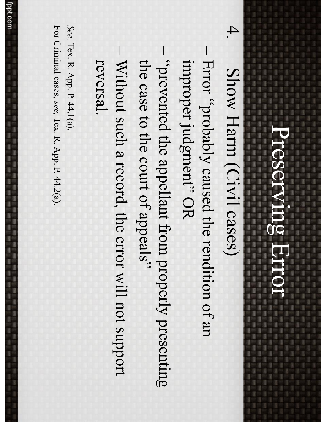1.00 District Date: Date: Date: Date: Date: Date: Date: Date: Date: Date: Date: Date: Date: Date: Date: Date: D

9

ı

ı

ī 3

### Show Harm (Civil cases) Show Harm (Civil cases)

4.

ă š i

II. ļ

ļ

3

ı

ı j

I

ī

9 î đ I ı 3 3

The Too Too State Class Class Class Class Class Class Class Class Class Class Class Class Class 

**CALLAS CALLAS CALLAS CALLAS CALLAS CALLAS** 

g

i.

ī

1 3 ī ļ U j ā 3 I

g.

Į

- $\overline{\phantom{a}}$ Error "probably caused the rendition of an improper judgment'' OR improper judgment" OR Error "probably caused the rendition of an
- guites appellang men pelant from presenting the case to the court of appeals" the case to the court of appeals" "prevented the appellant from properly presenting
- $\overline{\phantom{a}}$ Without such a record, the error will not support reversal. Without such a record, the error will not support

*See,* Tex.  $\mathcal{F}$ App.  $\bm{\nabla}$ 44.1(a). For Criminal cases, *see,* Tex. R. App. P. 44.2(a).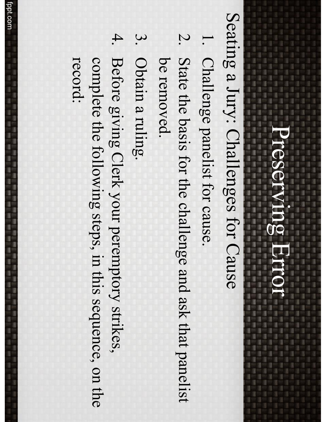#### Preserving Error Preserving Error 運行 羅門羅門羅門羅門

3

0

ļ

į

li i ı š

I

ī

I

ı

Ü

3

ī

ļ

3

ı

ī

I

Teles Tales Calles Calles Calles Calles Calles Tales Tales Calles Calles Calles Calles Calles Calles 

- 清川福川藩川藩川藩川藩川藩川藩川藩川藩川藩川藩

Seating a Jury: Challenges for Cause Seating a Jury: Challenges for Cause

l

ļ

9

ı

3

I

I

ı

3

ı

1

ī

i

g

ļ

3

ı

ı

l

ll.

I

ļ

1

g

į ı

š a i is an

ă

3 3

3

ä l

ļ

ī

- 1. Challenge panelist for cause. Challenge panelist for cause.
- 2. State the basis for the challenge and ask that panelist be removed. be removed. State the basis for the challenge and ask that panelist
- 3. Obtain a ruling. Obtain a ruling.
- 4. Before giving Clerk your peremptory strikes, record: complete the following steps, in this sequence, on the complete the following steps, in this sequence, on the Before giving Clerk your peremptory strikes,

İ

議回 議回 國一國 三國三國三國一國

I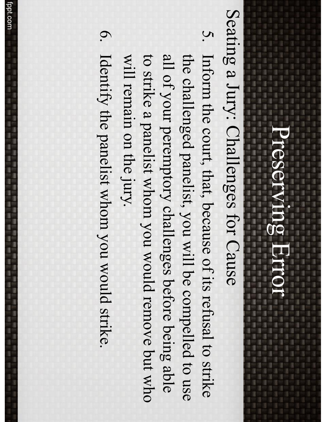ı

ī 3

ı

ı

ī ī

ı

i i

l

3

1

I

ı ļ

ll.

ī

9 î ī I 3 li. ī

ī

ī

1

一番 一番 U

1

ā 3 ī I.

ı

3 ä î

Į

,我们也不知道,我们也不知道,我们也不知道,我们也不知道,我们也不知道,我们也不知道,我们也不知道,我们也不知道,我们也不知道,我们也不知道,我们也不知道,我们

Seating a Jury: Challenges for Cause Seating a Jury: Challenges for Cause

- 5. Inform the court, that, because of its refusal to strike all of your peremptory challenges before being able to strike a panelist whom you would remove but who the challenged panelist, you will be compelled to use will remain on the jury. will remain on the jury. to strike a panelist whom you would remove but who the challenged panelist, you will be compelled to use all of your peremptory challenges before being able Inform the court, that, because of its refusal to strike
- 6. Identify the panelist whom you would strike. Identify the panelist whom you would strike.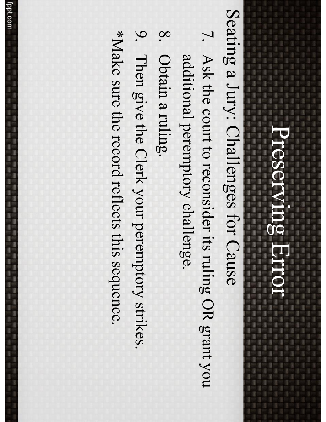I MATERIAL CAR THAT CAN THE THE THE THE TANK OF SALE OF THE TANK OF THE TANK OF THE TANK OF THE TANK OF THE TANK OF THE TANK OF THE TANK OF THE TANK OF THE TANK OF THE TANK OF THE TANK OF THE TANK OF THE TANK OF THE TANK O

ī

3

1 I ļ U į ī

ł ā 1

ì

1

ī

I

ı

1

ī

j

1

ī

I

ī

ļ

i.

Teles 1.000 Sent 1.000 Teles 1.000 Sent 1.000 Teles 1.000 Teles 1.000 Teles 1.000 Teles 1.000 Teles

(本) 是一是一是一是一是一是一是一是一是一是一是

1999年,1999年,1999年,1999年,1999年,1999年,1999年,1999年,1999年,1999年,1999年,1999年,1999年,1999年,1999年,1999年,199<br>1999年,1999年,1999年,1999年,1999年,1999年,1999年,1999年,1999年,1999年,1999年,1999年,1999年,1999年,1999年,1999年,1999年,1999年,19

š

ī

ä î

ļ

ļ

3

ı

ı

l

ll.

I

j

ī Ľ ī a i

î đ

I ī 3 3

g

Seating a Jury: Challenges for Cause Seating a Jury: Challenges for Cause

- 7. Ask the court to reconsider its ruling OR grant you additional peremptory challenge. Ask the court to reconsider its ruling OR grant you additional peremptory challenge.
- $\infty$ Obtain a ruling. Obtain a ruling.
- 9. Then give the Clerk your peremptory strikes. Then give the Clerk your peremptory strikes.

\*Make sure the record reflects this sequence. \*Make sure the record reflects this sequence.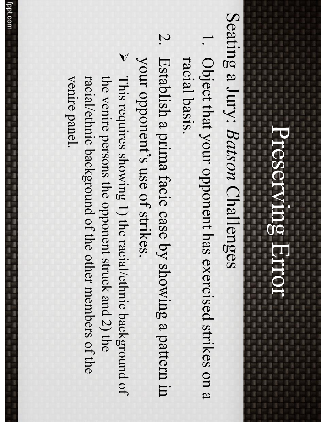## Seating a Jury: *Batson* Seating a Jury: Batson Challenges

2010年,1月22日,1月22日,1月22日,1月22日,1月22日,1月22日,1月22日,1月22日,1月22日,1月22日,1月22日,1月22日,1月23日,1月23日,1月23日,1月23

š ä

Į

l

3

ı

l

ll.

j

ī

9 î ī I 3 ı ī

1986 Toler Toler Toler Toler Toler Toler Toler Toler Toler Toler Toler Toler Toler Toler 

ī

1 ī l U j ā 3

t

1

ı

ī 1

j

ı

9

ī

l

g.

ä 1

- 1. Object that your opponent has exercised strikes on a racial basis. racial basis. Object that your opponent has exercised strikes on a
- 2. Establish a prima facie case by showing a pattern in your opponent's use of strikes. your opponent's use of strikes. Establish a prima facie case by showing a pattern in
- → This requires showing 1) the racial/ethnic background of racial/ethnic background of the other members of the the venire persons the opponent struck and 2) the venire panel. venire panel. racial/ethnic background of the other members of the the venire persons the opponent struck and 2) the This requires showing 1) the racial/ethnic background of

这一名,在《清》语:"诗》语:"语:'语:'语:'语:'语:'语:'语:'语:'语:'语:'语:'语:'语:'语:'语:'语:'

ņ

■ ■ ■

l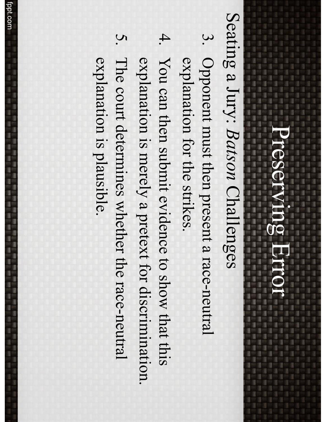ı

ī ī

ı

ı

9

ī

l

Seating a Jury: *Batson* Seating a Jury: Batson Challenges

l 3 ä

9 ļ

l

3

g.

I

ı

I

l.

ī

9 î ī I ı ı 3

g

li an

3

ī

1

in the U

1

3

ī t

ı

- 3. Opponent must then present a race-neutral explanation for the strikes. explanation for the strikes. Opponent must then present a race-neutral
- 4. You can then submit evidence to show that this explanation is merely a pretext for discrimination. You can then submit evidence to show that this explanation is merely a pretext for discrimination.
- 5. The court determines whether the race-neutral explanation is plausible. explanation is plausible. The court determines whether the race-neutral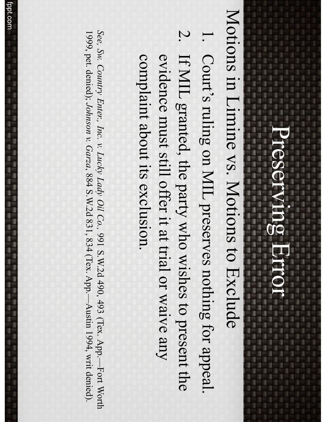ı

1

ī

ī

I

9 ī ī

1

Motions in Limine vs. Motions to Exclude Motions in Limine vs. Motions to Exclude

,我们也不是我们的事,我们也不是我们的事,我们也不是我们的事,我们也不是我们的事,我们也不是我们的事,我们也不是我们的。"

3

ī

ä î

g.

ļ

3

ı

ı

l

l

I

j

ī

ī

đ

ı 3 3

The Too Too State Class Class Class Class Class Class Class Class Class Class Class Class Class 

ī

1 I ļ U į ł 3

**CALLAS CALLAS CALLAS CALLAS CALLAS CALLAS** 

- .<br>.<br>. Court's ruling on MIL preserves nothing for appeal. Court's ruling on MIL preserves nothing for appeal.
- 2. If MIL granted, the party who wishes to present the complaint about its exclusion. evidence must still offer it at trial or waive any complaint about its exclusion. evidence must still offer it at trial or waive any If MIL granted, the party who wishes to present the

*See, Sw. Country Enter., Inc. v. Lucky Lady Oil Co.,* 991 S.W.2d 490, 493 (Tex. App.—Fort Worth 1999, pet. denied); *Johnson v. Garza*, 884 S.W.2d 831, 834 (Tex. App.—Austin 1994, writ denied).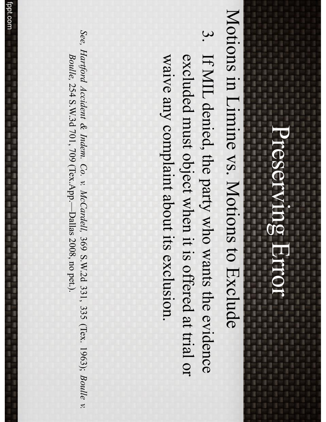### Preserving Error Preserving Error 建物建物 建物 建物 医血管 医血管 医血管 医血管 医血管

1988年,1988年,1988年,1988年,1988年,1988年,1988年,1988年,1988年,1988年,1988年,1988年,1988年,1988年,1988年,1988年,1988年,198<br>1988年 - 1988年 - 1988年 - 1988年 - 1988年 - 1988年 - 1988年 - 1988年 - 1988年 - 1988年 - 1988年 - 1988年 - 1988年 - 1988年

1

1

ī

ī ı

1

3 ı 1

ı

3

3

ī

ł

1

š

ī

ì

ī

I

š ä

î

ī

L

3

ı

ı

l

l

I

ļ

š

ă

3 3 3

g

Teles 1986 Teles 1986 Teles 1986 Teles 1986 Teles 1986 Teles 1986 Teles 1986 Teles 1986

(本) 是一是一是一是一是一是一是一是一是一是一是

计数字 医阿尔德氏征 医阿尔德氏征 医阿尔德氏征 医阿尔德氏征 医阿尔德氏征

ī

3

0 ı ļ Ü į 3 li i

g

g

ä

Motions in Limine vs. Motions to Exclude Motions in Limine vs. Motions to Exclude

3. If MIL denied, the party who wants the evidence waive any complaint about its exclusion. excluded must object when it is offered at trial or waive any complaint about its exclusion. excluded must object when it is offered at trial or If MIL denied, the party who wants the evidence

*See, Hartford Accident & Indem. Co. v. McCardell,* 369 S.W.2d 331, 33<br>33 (Tex. 1963); *Boulle v. Boulle,* 254 S.W.3d 701, 709 (Tex.App.—Dallas 2008, no pet.).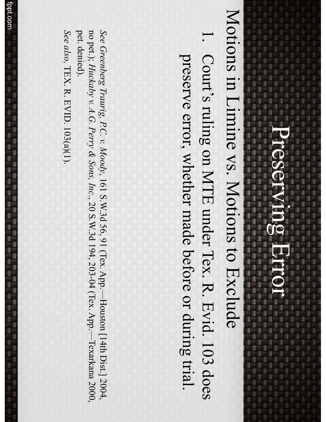#### Preserving Error Preserving Error 建物建物 建物 建物 医血管 医血管 医血管 医血管 医血管

ä

ß.

1

3

1

l.

ı

I

į

ll.

ı

I

3

3

ļ g

3 ill i į

ă

3

3 9

ī

3 i a 0 l.

ļ Ü

į ā

3 ı

t

I

3

1

3

š

ī

ī

1

11.88 公開 11.88 三個 11.88 三個 11.88 三個 11.88 三面 11.88 三面 11.88 三面 11.88 三面 11.88 

il.

ļ

I

ī

Motions in Limine vs. Motions to Exclude Motions in Limine vs. Motions to Exclude

2010年12月12日,1月12日,1月12日,1月12日,1月12日,1月12日,1月12日,1月12日,1月12日,1月12日,1月12日,1月12日,1月12日,1月12日,1月12日,1月12

i a

ı

3

1

ı

ī

ı

ı ı

ī

1

ī

ī

3

3

ı

ī

1. Court's ruling on MTE under Tex. R. Evid. 103 does preserve error, whether made before or during trial. preserve error, whether made before or during trial. Court's ruling on MTE under Tex. R. Evid. 103 does

no pet.); Huckaby v. A.G. Perry & Sons, Inc., 20 S.W.3d 194, 203-04 (Tex. App.--Texarkana 2000) pet. denied). See Greenberg Traurig, P.C. v. Moody, 161 S.W.3d 56, 91 (Tex. App.-Houston [14th Dist.] 2004, pet. denied). no pet.); *Huckaby See Greenberg Traurig, P.C. v. Moodyv. A.G. Perry & Sons, Inc*, 161 S.W.3d 56, 91 (Tex. App.—Houston [14th Dist.] 2004, ., 20 S.W.3d 194, 203-04 (Tex. App.—Texarkana 2000,

See also, TEX. R. EVID. 103(a)(1). TEX. R. EVID. 103(a)(1).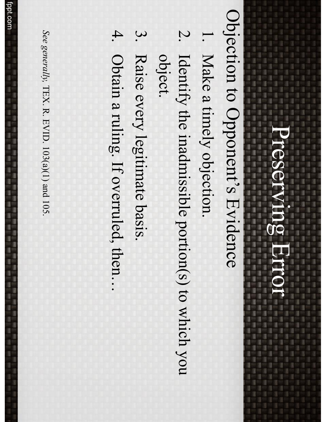1993)661(661)661(661)661(661)661(662)661(662)662(662)672(672)672(672)672)673

1. 《清川清川清川清川清川清川清川清川清川清川清川清川清川清川清川清川清川

ī

3 i a 0

l. ļ

Ü į

3

ā

I

š

ī

ī

I

li i ı

t

Objection to Opponent's Evidence Objection to Opponent's Evidence

l

ļ

9

ı

3

ī

ı

3

11 日

ī

ī

1

ı

ł

1

ä

g

3

I

l

l

ļ

ļ š ī ă

> 3 li. 3

ī

il.

î

į

- .<br>.<br>. Make a timely objection. Make a timely objection.
- 2. Identify the inadmissible portion(s) to which you object. Identify the inadmissible portion(s) to which you
- 3. Raise every legitimate basis. Raise every legitimate basis.
- 4. Obtain a ruling. If overruled, then... Obtain a ruling. If overruled, then…

See generally, TEX. R. EVID. 103(a)(1) and 105. *See generally,* TEX. R. EVID.  $103(a)(1)$  and  $105$ .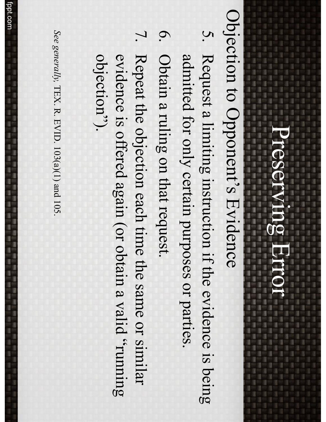in 1991 in the control

ā

1

ļ

ı

ī

l

ī

9 î ī I ı ı ī

g

li an

9

1

in the U

t

ī

ī

ī

ļ

î

1. 2012. 2022. 2022. 2023. 2023. 2023. 2023. 2023. 2023. 2023. 2023. 2023. 2024. 2024. 2024. 2024. 2024. 2024. 2024. 2024. 2024. 2024. 2024. 2024. 2024. 2024. 2024. 2024. 2024. 2024. 2024. 2024. 2024. 2024. 2024. 2024. 20

## Objection to Opponent's Evidence Objection to Opponent's Evidence

- $\mathcal{G}$ Request a limiting instruction if the evidence is being admitted for only certain purposes or parties. admitted for only certain purposes or parties. Request a limiting instruction if the evidence is being
- .<br>ا Obtain a ruling on that request. Obtain a ruling on that request.
- 7. Repeat the objection each time the same or similar objection'). guidence is offered again (or obtain a valid "running objection"). evidence is offered again (or obtain a valid "running Repeat the objection each time the same or similar

See generally, TEX. R. EVID. 103(a)(1) and 105. *See generally,* TEX. R. EVID.  $103(a)(1)$  and  $105$ .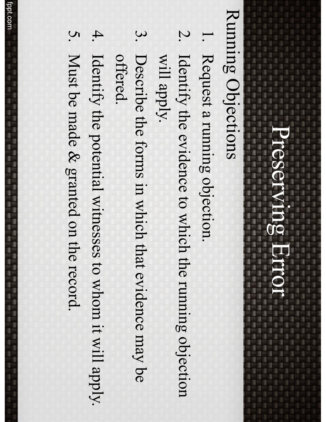### Running Objections Running Objections

| 森川県||路川県||西

ı

3

ī

ī

ı

3

1

ı

ļ

an a

1

ļ

I

ļ

ī

I î ī I ī ı

(4) 《唐·宋·唐·宋·唐·唐·唐·唐·唐·唐·唐·唐·唐·唐·唐·

9

1

in the ū

t

ī

ī

ı

- .<br>.<br>. Request a running objection. Request a running objection.
- 2. Identify the evidence to which the running objection will apply. Identify the evidence to which the running objection
- 3. Describe the forms in which that evidence may be offered. Describe the forms in which that evidence may be
- 4. Identify the potential witnesses to whom it will apply. Identify the potential witnesses to whom it will apply.
- 5. Must be made & granted on the record. Must be made & granted on the record.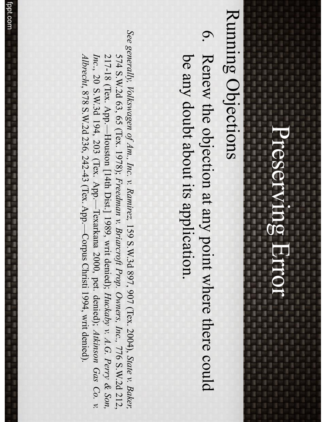#### Preserving Error Preserving Error 第四連四連四連四連四連四進四進四進四進四進二進

### Running Objections Running Objections

2010年1月,第1月,第1月,第1日第1日第1日第1日第1日

1

l

**第四連四連四連四連四連四** 

l

ı

l

9

i

3

ı

ı

ī

ī

1

ī ā

1 1

ı

ī

ı

ļ

ī

ã l

l

3

1

I

ı

į

ĵ

3

3

L g ī į

đ î. ı

3

j

Later Class Caller Class Class Class Class Class Class Class Class Class Class Class 

ī i 9

ī 1

l ļ

U

I ā

3 ı

j

3

3

ī

ī

【論 】論 【論 】論 】論 】論

1、 1、 1、 1、 1、 1

l.

.<br>ا Renew the objection at any point where there could be any doubt about its application. be any doubt about its application. Renew the objection at any point where there could

*See generally, Volkswagen of Am., Inc. v. Ramirez,* 159 S.W.3d 897, 907 (Tex. 2004), *State v. Baker,* 574 S.W.2d 63, 65 (Tex. 1978); *Freedman v. Briarcroft Prop. Owners, Inc.,* 776 S.W.2d 212, 217-18 (Tex. App.—Houston [14th Dist.] 1989, writ denied); *Huckaby v. A.G. Perry & Son, Inc*., 20 S.W.3d 194, 203 (Tex. App.—Texarkana 2000, pet. denied); *Atkinson Gas Co. v. Albrecht*, 878 S.W.2d 236, 242-43 (Tex. App.—Corpus Christi 1994, writ denied).

fppt.com

福田 医细胞 医细胞 医细胞 医细胞

ı

l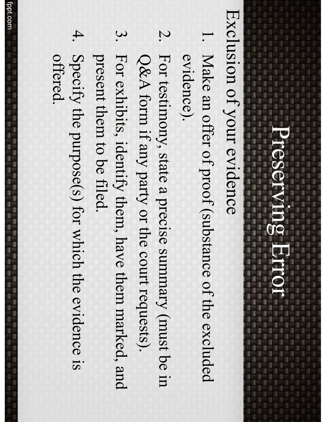in 1991 is and

an an

1

3

î

i

ļ

I.

ī

ı

l

ī

9 î ı I ī ı

一直以重化書印書印書印書印書印書印書印書印書印書印書印書印書印書

g

li an

9

1

in the U

t

ī

ī

The Editor

Exclusion of your evidence Exclusion of your evidence

- 1. Make an offer of proof (substance of the excluded evidence). Make an offer of proof (substance of the excluded
- 2. For testimony, state a precise summary (must be in Q&A form if any party or the court requests). Q&A form if any party or the court requests). For testimony, state a precise summary (must be in
- 3. For exhibits, identify them, have them marked, and present them to be filed. present them to be filed. For exhibits, identify them, have them marked, and
- 4. Specify the purpose(s) for which the evidence is<br>offered. Specify the purpose(s) for which the evidence is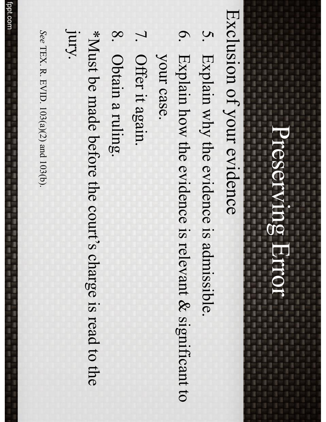Exclusion of your evidence Exclusion of your evidence

1、2012年1月11日,1月11日,1月11日,1月12日,1月12日,1月12日,1月12日,1月12日,1月12日,1月12日,1月12日,1月12日。1月12日

ļ

l

| 藤<br>| 後

i a

3

j

I

1

ī

1

i

ļ

ļ

ı

ll.

š

il.

ı 3 3

an the two comes than them than the two comes than the two comes than the two com-

ı

0

ļ Ü į

ā

I

ı

(本) 是一是一是一是一是一是一是一是一是一是一是

ä î

- 5. Explain why the evidence is admissible. Explain why the evidence is admissible.
- 6. Explain how the evidence is relevant & significant to Explain how the evidence is relevant & significant to
- your case. your case.
- 7. Offer it again. Offer it again.
- 8. Obtain a ruling. Obtain a ruling.

jury. \*Must be made before the court's charge is read to the \*Must be made before the court's charge is read to the

See TEX. R. EVID. 103(a)(2) and 103(b). TEX. R. EVID.  $103(a)(2)$  and  $103(b)$ .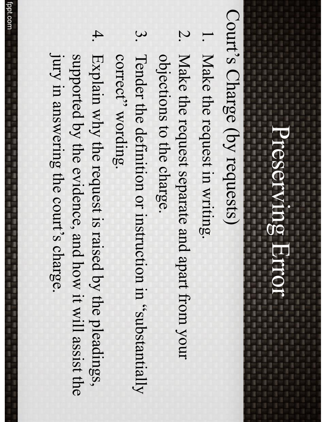in and in the control

ā

ļ

ļ

į

ļ

ı

ī

l

ī

ļ î ı I

ı

1. 经公司的 医二溴化物 化硫化物 医二溴化物 化二溴化物

ı

li an

in it

i al II-lea ū

ī

1

ī

ļ

## Court's Charge (by requests) Court's Charge (by requests)

- .<br>.<br>. Make the request in writing. Make the request in writing.
- 2. Make the request separate and apart from your objections to the charge. objections to the charge. Make the request separate and apart from your
- $\boldsymbol{\omega}$ Tender the definition or instruction in "substantially correct' wording. correct'' wording. Tender the definition or instruction in "substantially
- 4. Explain why the request is raised by the pleadings, jury in answering the court's charge. jury in answering the court's charge. supported by the evidence, and how it will assist the supported by the evidence, and how it will assist the Explain why the request is raised by the pleadings,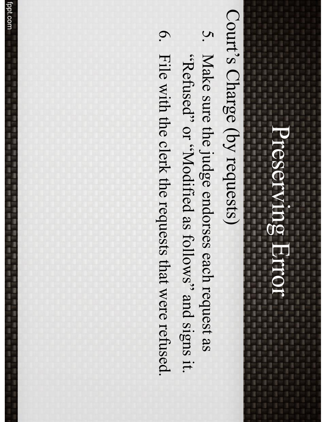ī

3 š 1

ł ļ Ü į ī

ī ā

ı t

ì

ī

1

10、莲一花一莲一莲一莲一莲一莲一莲一莲一莲一莲一莲一莲一莲一花 I MATERIAL CAR THAT CAN THE THE THE THE TANK OF SALE OF THE TANK OF THE TANK OF THE TANK OF THE TANK OF THE TANK OF THE TANK OF THE TANK OF THE TANK OF THE TANK OF THE TANK OF THE TANK OF THE TANK OF THE TANK OF THE TANK O

## Court's Charge (by requests) Court's Charge (by requests)

ı

ı

国口语 1 ı

j

š ä

l

ļ

3

ı

ı

l I

ll.

j

3

į š a i đ

> ı 3 3

5. Make sure the judge endorses each request as 6. File with the clerk the requests that were refused. .it sugis pue "swolloi as bollows" and signs it. File with the clerk the requests that were refused. trefused" or "Modified as follows" and signs it. Make sure the judge endorses each request as

fppt.com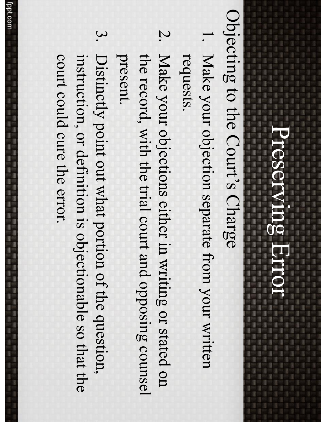**,这种人的人的人的人的人的人的人的人的人的人的人的人的人的人的人的人物,也不能**是我们的人的人,也不能不能不能不能不能不能。而且我们的人的人的人的人,我们的人的人

in the control

1

ā

1

ļ

I

ı

l

ī

9 î ı I ı ı

g

li an

9

1

in the U

t

ī

ı

3

ī

ī

ı

ā

ļ

Objecting to the Court's Charge Objecting to the Court's Charge

- 1. Make your objection separate from your written requests. Make your objection separate from your written
- 2. Make your objections either in writing or stated on present. the record, with the trial court and opposing counsel the record, with the trial court and opposing counsel Make your objections either in writing or stated on
- <u>ယ</u> Distinctly point out what portion of the question, court could cure the error. instruction, or definition is objectionable so that the court could cure the error. instruction, or definition is objectionable so that the Distinctly point out what portion of the question,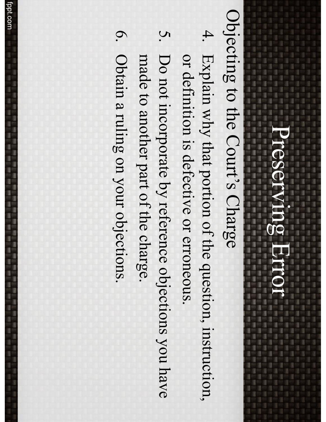ı

li an

ī

1 ı ļ U j ā 3

ï

ī

ī

ı

3

j

ı

ī

ī

ī

in the control ä

1

ļ

3

ı

ı

ı

ll.

I

ļ

ī Ľ ı ē

î il.

I ī 3 3 3

1

## Objecting to the Court's Charge Objecting to the Court's Charge

- 4. Explain why that portion of the question, instruction, or definition is defective or erroneous or definition is defective or erroneous. Explain why that portion of the question, instruction,
- 5. Do not incorporate by reference objections you have made to another part of the charge made to another part of the charge. Do not incorporate by reference objections you have
- 6. Obtain a ruling on your objections. Obtain a ruling on your objections.

fppt.com<br>fppt.com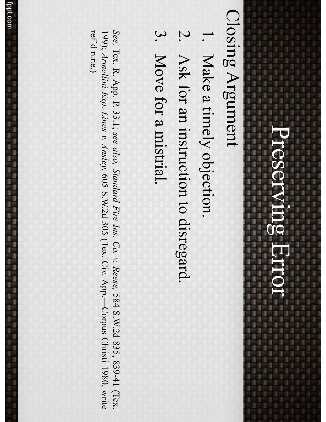#### 1992年10月10日 10月10日 10月10日 10月10日 10月10日 10月10日 10月10日 Preserving Error Preserving Error 第四連四連四連四連四進四進四進四進四進三進 (議員議員福田 議員

**THE THE THE THE TEST OF THE THE THE TIME TO BE THE TIME TO BE T 第二次 《清·清·清·清·清·清·清·清·清·清·清·清·清·清·清·** 

ī i 9 ī

1 l

I ī j

ī

a 3

ı

ī

ļ

ı 3

1

ī

ī

3

l

建二碳二碳二碳二碳二

š

t

3

ī

1 1

1

ı 1

ı

3

s

1.000 0.000 0.000 0.000 0.000 0.000 0.000 0.000 0.000 0.000 0.000 0.000 0.000 0.000 0.000 0.000 0.000 0.000 0.000 0.000 0.000 0.000 0.000 0.000 0.000 0.000 0.000 0.000 0.000 0.000 0.000 0.000 0.000 0.000 0.000 0.000 0.000

### Closing Argument Closing Argument

□ 国 □ 国 □ 国 □

| 温川 蓮川 藤川 蓮川 蓮川 蓮川 蓮川

ü I l

I

Î

l

į

I.

3

L g ī į

đ i. ı

3

j

18 日

【論 】論 【論 】論 】論 】論

3 1

1

- .<br>.<br>. Make a timely objection. Make a timely objection.
- 2. Ask for an instruction to disregard. Ask for an instruction to disregard.
- 3. Move for a mistrial. Move for a mistrial.

*See,* Tex.  $\Xi$ App.  $\bm{\nabla}$ 33.1; *see also, Standard Fire Ins. Co. v. Reese,* 584 S.W.2d 835, 839-41 (Tex. 199); *Armellini Exp. Lines v. Ansley,* 605 S.W.2d 305 (Tex. Civ. App.—Corpus Christi 1980, write ref'd n.r.e.)

法法 计注册语言 医法律性 医二次反应 医二次反应

讀出 遵守 蓬尔 覆空 薄空

ı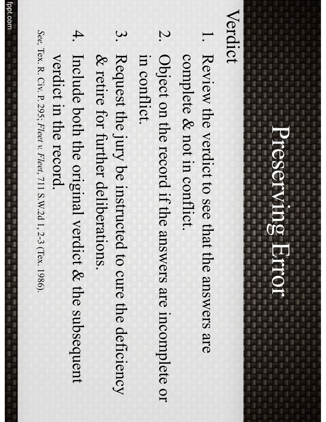**另一些人的 化二甲基苯基苯胺 化二甲基苯胺 医阿尔格氏菌 医阿尔格氏菌 医阿尔格氏菌 医阿尔格氏菌 医阿尔格氏菌 医阿尔格氏菌 医阿尔格氏菌 医阿尔格氏菌 医阿尔格氏菌 医阿尔格氏菌** 

9

#### Verdict

1、 1、 1、 1、 1、 1、 1、 1、 1、 1

is and

ļ

i isa ā

ļ

ļ

3

ī

X

ı

ī

9

ı

li an

i al il se ū

ī

ā

ī

î ı I ī ı

The Editor

- 1. Review the verdict to see that the answers are complete & not in conflict. complete & not in conflict. Review the verdict to see that the answers are
- 2. Object on the record if the answers are incomplete or in conflict. in conflict. Object on the record if the answers are incomplete or
- 3. Request the jury be instructed to cure the deficiency & retire for further deliberations. & retire for further deliberations. Request the jury be instructed to cure the deficiency
- 4. Include both the original verdict & the subsequent verdict in the record. verdict in the record. Include both the original verdict & the subsequent
- *See, Tex. R. Civ. P. 295; Fleet v. Fleet, 711 S.W.2d 1, 2-3 (Tex. 1986).* Tex. R. Civ. P. 295; *Fleet v. Fleet*, 711 S.W.2d 1, 2-3 (Tex. 1986).